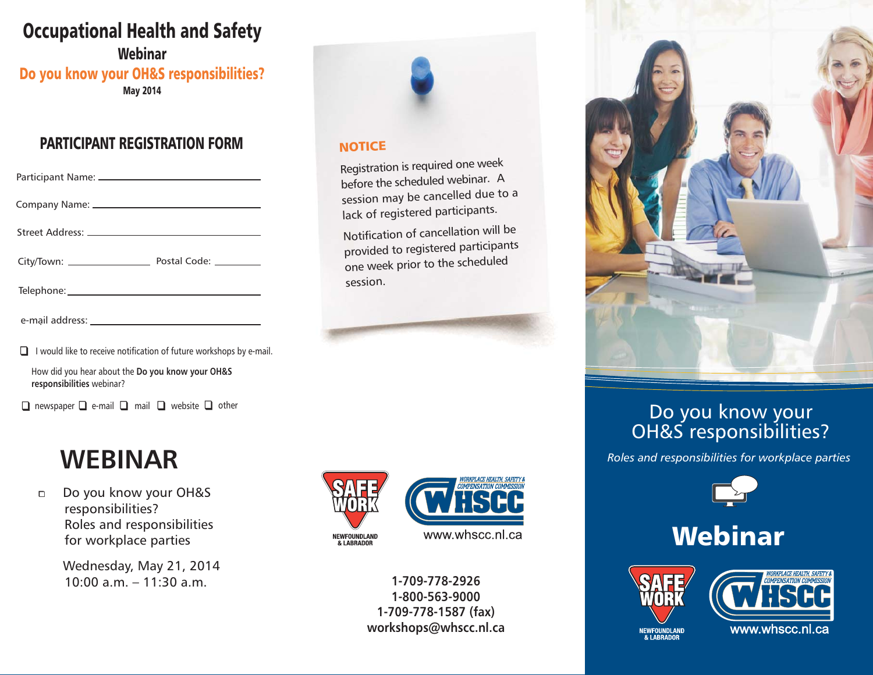## Occupational Health and Safety

WebinarMay 2014 Do you know your OH&S responsibilities?

### PARTICIPANT REGISTRATION FORM

| $\Box$ I would like to receive notification of future workshops by e-mail. |  |
|----------------------------------------------------------------------------|--|

How did you hear about the **Do you know your OH&S responsibilities** webinar?

 $\Box$  newspaper  $\Box$  e-mail  $\Box$  mail  $\Box$  website  $\Box$  other

# **WEBINAR**

 $\Box$  Do you know your OH&S responsibilities? Roles and responsibilities for workplace parties

> Wednesday, May 21, 2014 10:00 a.m. – 11:30 a.m.



#### **NOTICE**

Registration is required one week before the scheduled webinar. <sup>A</sup> session may be cancelled due to <sup>a</sup> lack of registered participants.

Notification of cancellation will be provided to registered participants one week prior to the scheduled session.





**1-709-778-29261-800-563-90001-709-778-1587 (fax) workshops@whscc.nl.ca**



### Do you know your OH&S responsibilities?

*Roles and responsibilities for workplace parties*



# Webinar





NEWFOUNDLAND<br>& LABRADOR